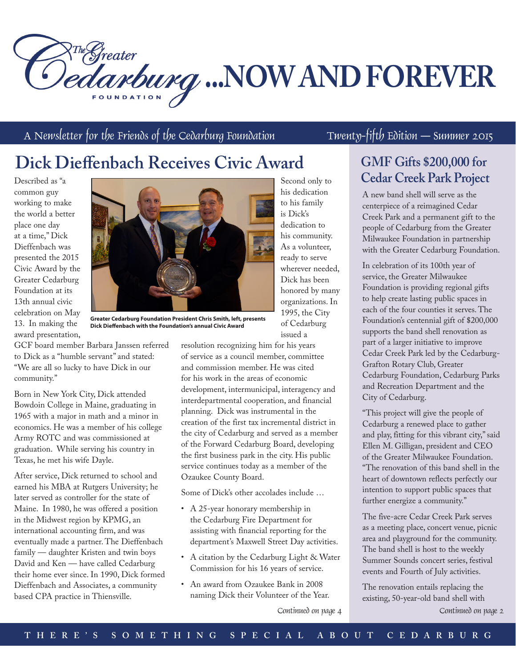**Dedarburg ...NOW AND FOREVER** 

A Newsletter for the Friends of the Cedarburg Foundation Twenty-fifth Edition — Summer 2015

## **Dick Dieffenbach Receives Civic Award**

Described as "a common guy working to make the world a better place one day at a time," Dick Dieffenbach was presented the 2015 Civic Award by the Greater Cedarburg Foundation at its 13th annual civic celebration on May 13. In making the award presentation,



**Greater Cedarburg Foundation President Chris Smith, left, presents Dick Dieffenbach with the Foundation's annual Civic Award**

GCF board member Barbara Janssen referred to Dick as a "humble servant" and stated: "We are all so lucky to have Dick in our community."

Born in New York City, Dick attended Bowdoin College in Maine, graduating in 1965 with a major in math and a minor in economics. He was a member of his college Army ROTC and was commissioned at graduation. While serving his country in Texas, he met his wife Dayle.

After service, Dick returned to school and earned his MBA at Rutgers University; he later served as controller for the state of Maine. In 1980, he was offered a position in the Midwest region by KPMG, an international accounting firm, and was eventually made a partner. The Dieffenbach family — daughter Kristen and twin boys David and Ken — have called Cedarburg their home ever since. In 1990, Dick formed Dieffenbach and Associates, a community based CPA practice in Thiensville.

resolution recognizing him for his years of service as a council member, committee and commission member. He was cited for his work in the areas of economic development, intermunicipal, interagency and interdepartmental cooperation, and financial planning. Dick was instrumental in the creation of the first tax incremental district in the city of Cedarburg and served as a member of the Forward Cedarburg Board, developing the first business park in the city. His public service continues today as a member of the Ozaukee County Board.

Some of Dick's other accolades include …

- A 25-year honorary membership in the Cedarburg Fire Department for assisting with financial reporting for the department's Maxwell Street Day activities.
- A citation by the Cedarburg Light & Water Commission for his 16 years of service.
- An award from Ozaukee Bank in 2008 naming Dick their Volunteer of the Year.

Second only to his dedication to his family is Dick's dedication to his community. As a volunteer, ready to serve wherever needed, Dick has been honored by many organizations. In 1995, the City of Cedarburg issued a

# **GMF Gifts \$200,000 for**

**Cedar Creek Park Project**

A new band shell will serve as the centerpiece of a reimagined Cedar Creek Park and a permanent gift to the people of Cedarburg from the Greater Milwaukee Foundation in partnership with the Greater Cedarburg Foundation.

In celebration of its 100th year of service, the Greater Milwaukee Foundation is providing regional gifts to help create lasting public spaces in each of the four counties it serves. The Foundation's centennial gift of \$200,000 supports the band shell renovation as part of a larger initiative to improve Cedar Creek Park led by the Cedarburg-Grafton Rotary Club, Greater Cedarburg Foundation, Cedarburg Parks and Recreation Department and the City of Cedarburg.

"This project will give the people of Cedarburg a renewed place to gather and play, fitting for this vibrant city," said Ellen M. Gilligan, president and CEO of the Greater Milwaukee Foundation. "The renovation of this band shell in the heart of downtown reflects perfectly our intention to support public spaces that further energize a community."

The five-acre Cedar Creek Park serves as a meeting place, concert venue, picnic area and playground for the community. The band shell is host to the weekly Summer Sounds concert series, festival events and Fourth of July activities.

The renovation entails replacing the existing, 50-year-old band shell with

Continued on page 4 Continued on page 2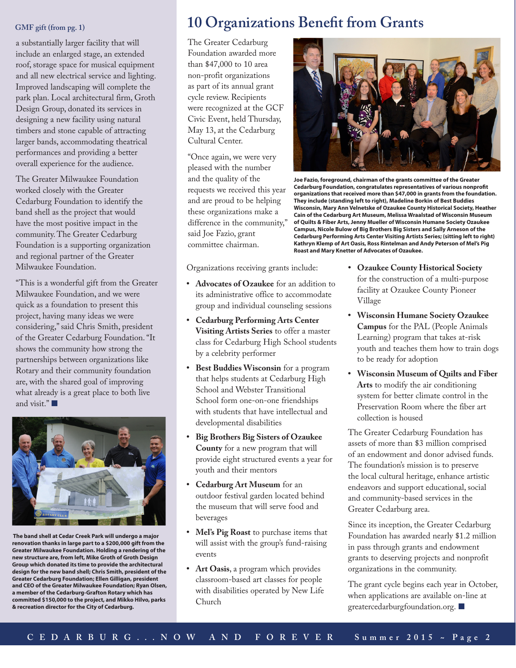### **GMF gift (from pg. 1)**

a substantially larger facility that will include an enlarged stage, an extended roof, storage space for musical equipment and all new electrical service and lighting. Improved landscaping will complete the park plan. Local architectural firm, Groth Design Group, donated its services in designing a new facility using natural timbers and stone capable of attracting larger bands, accommodating theatrical performances and providing a better overall experience for the audience.

The Greater Milwaukee Foundation worked closely with the Greater Cedarburg Foundation to identify the band shell as the project that would have the most positive impact in the community. The Greater Cedarburg Foundation is a supporting organization and regional partner of the Greater Milwaukee Foundation.

"This is a wonderful gift from the Greater Milwaukee Foundation, and we were quick as a foundation to present this project, having many ideas we were considering," said Chris Smith, president of the Greater Cedarburg Foundation. "It shows the community how strong the partnerships between organizations like Rotary and their community foundation are, with the shared goal of improving what already is a great place to both live and visit."



 **The band shell at Cedar Creek Park will undergo a major renovation thanks in large part to a \$200,000 gift from the Greater Milwaukee Foundation. Holding a rendering of the new structure are, from left, Mike Groth of Groth Design Group which donated its time to provide the architectural design for the new band shell; Chris Smith, president of the Greater Cedarburg Foundation; Ellen Gilligan, president and CEO of the Greater Milwaukee Foundation; Ryan Olsen, a member of the Cedarburg-Grafton Rotary which has committed \$150,000 to the project, and Mikko Hilvo, parks & recreation director for the City of Cedarburg.**

### **10 Organizations Benefit from Grants**

The Greater Cedarburg Foundation awarded more than \$47,000 to 10 area non-profit organizations as part of its annual grant cycle review. Recipients were recognized at the GCF Civic Event, held Thursday, May 13, at the Cedarburg Cultural Center.

"Once again, we were very pleased with the number and the quality of the requests we received this year and are proud to be helping these organizations make a difference in the community," said Joe Fazio, grant committee chairman.



**Joe Fazio, foreground, chairman of the grants committee of the Greater Cedarburg Foundation, congratulates representatives of various nonprofit organizations that received more than \$47,000 in grants from the foundation. They include (standing left to right), Madeline Borkin of Best Buddies Wisconsin, Mary Ann Velnetske of Ozaukee County Historical Society, Heather Cain of the Cedarburg Art Museum, Melissa Wraalstad of Wisconsin Museum of Quilts & Fiber Arts, Jenny Mueller of Wisconsin Humane Society Ozaukee Campus, Nicole Bulow of Big Brothers Big Sisters and Sally Arneson of the Cedarburg Performing Arts Center Visiting Artists Series; (sitting left to right) Kathryn Klemp of Art Oasis, Ross Rintelman and Andy Peterson of Mel's Pig Roast and Mary Knetter of Advocates of Ozaukee.** 

Organizations receiving grants include:

- **• Advocates of Ozaukee** for an addition to its administrative office to accommodate group and individual counseling sessions
- **• Cedarburg Performing Arts Center Visiting Artists Series** to offer a master class for Cedarburg High School students by a celebrity performer
- **• Best Buddies Wisconsin** for a program that helps students at Cedarburg High School and Webster Transitional School form one-on-one friendships with students that have intellectual and developmental disabilities
- **• Big Brothers Big Sisters of Ozaukee County** for a new program that will provide eight structured events a year for youth and their mentors
- **• Cedarburg Art Museum** for an outdoor festival garden located behind the museum that will serve food and beverages
- **• Mel's Pig Roast** to purchase items that will assist with the group's fund-raising events
- **• Art Oasis**, a program which provides classroom-based art classes for people with disabilities operated by New Life Church
- **• Ozaukee County Historical Society** for the construction of a multi-purpose facility at Ozaukee County Pioneer Village
- **• Wisconsin Humane Society Ozaukee Campus** for the PAL (People Animals Learning) program that takes at-risk youth and teaches them how to train dogs to be ready for adoption
- **• Wisconsin Museum of Quilts and Fiber Arts** to modify the air conditioning system for better climate control in the Preservation Room where the fiber art collection is housed

The Greater Cedarburg Foundation has assets of more than \$3 million comprised of an endowment and donor advised funds. The foundation's mission is to preserve the local cultural heritage, enhance artistic endeavors and support educational, social and community-based services in the Greater Cedarburg area.

Since its inception, the Greater Cedarburg Foundation has awarded nearly \$1.2 million in pass through grants and endowment grants to deserving projects and nonprofit organizations in the community.

The grant cycle begins each year in October, when applications are available on-line at greatercedarburgfoundation.org.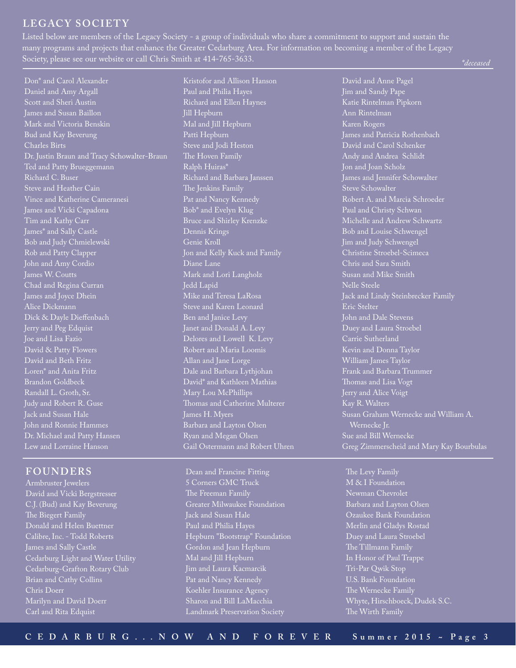### **LEGACY SOCIETY**

Listed below are members of the Legacy Society - a group of individuals who share a commitment to support and sustain the many programs and projects that enhance the Greater Cedarburg Area. For information on becoming a member of the Legacy Society, please see our website or call Chris Smith at 414-765-3633.

Don\* and Carol Alexander Daniel and Amy Argall Scott and Sheri Austin James and Susan Baillon Mark and Victoria Benskin Bud and Kay Beverung Charles Birts Dr. Justin Braun and Tracy Schowalter-Braun Ted and Patty Brueggemann Richard C. Buser Steve and Heather Cain Vince and Katherine Cameranesi James and Vicki Capadona Tim and Kathy Carr James\* and Sally Castle Bob and Judy Chmielewski Rob and Patty Clapper James W. Coutts Chad and Regina Curran James and Joyce Dhein Alice Dickmann Dick & Dayle Dieffenbach Jerry and Peg Edquist Joe and Lisa Fazio David & Patty Flowers David and Beth Fritz Loren\* and Anita Fritz Brandon Goldbeck Randall L. Groth, Sr. Judy and Robert R. Guse Jack and Susan Hale John and Ronnie Hammes Dr. Michael and Patty Hansen Lew and Lorraine Hanson

### **FOUNDERS**

Armbruster Jewelers David and Vicki Bergstresser C.J. (Bud) and Kay Beverung The Biegert Family Donald and Helen Buettner Calibre, Inc. - Todd Roberts James and Sally Castle Cedarburg Light and Water Utility Cedarburg-Grafton Rotary Club Chris Doerr Marilyn and David Doerr Carl and Rita Edquist

Kristofor and Allison Hanson Paul and Philia Hayes Richard and Ellen Haynes Jill Hepburn Mal and Jill Hepburn Patti Hepburn Steve and Jodi Heston The Hoven Family Ralph Huiras\* Richard and Barbara Janssen The Jenkins Family Pat and Nancy Kennedy Bob\* and Evelyn Klug Bruce and Shirley Krenzke Dennis Krings Genie Kroll Jon and Kelly Kuck and Family Diane Lane Mark and Lori Langholz Jedd Lapid Mike and Teresa LaRosa Steve and Karen Leonard Ben and Janice Levy Janet and Donald A. Levy Delores and Lowell K. Levy Robert and Maria Loomis Allan and Jane Lorge Dale and Barbara Lythjohan David\* and Kathleen Mathias Mary Lou McPhillips Thomas and Catherine Multerer James H. Myers Barbara and Layton Olsen Ryan and Megan Olsen Gail Ostermann and Robert Uhren

Dean and Francine Fitting 5 Corners GMC Truck The Freeman Family Greater Milwaukee Foundation Jack and Susan Hale Paul and Philia Hayes Hepburn "Bootstrap" Foundation Gordon and Jean Hepburn Mal and Jill Hepburn Jim and Laura Kacmarcik Pat and Nancy Kennedy Koehler Insurance Agency Sharon and Bill LaMacchia Landmark Preservation Society

David and Anne Pagel Jim and Sandy Pape Katie Rintelman Pipkorn Ann Rintelman Karen Rogers James and Patricia Rothenbach David and Carol Schenker Andy and Andrea Schlidt Jon and Joan Scholz James and Jennifer Schowalter Steve Schowalter Robert A. and Marcia Schroeder Paul and Christy Schwan Michelle and Andrew Schwartz Bob and Louise Schwengel Jim and Judy Schwengel Christine Stroebel-Scimeca Chris and Sara Smith Susan and Mike Smith Nelle Steele Jack and Lindy Steinbrecker Family Eric Stelter John and Dale Stevens Duey and Laura Stroebel Carrie Sutherland Kevin and Donna Taylor William James Taylor Frank and Barbara Trummer Thomas and Lisa Vogt Jerry and Alice Voigt Kay R. Walters Susan Graham Wernecke and William A. Wernecke Jr. Sue and Bill Wernecke Greg Zimmerscheid and Mary Kay Bourbulas

The Levy Family M & I Foundation Newman Chevrolet Barbara and Layton Olsen Ozaukee Bank Foundation Merlin and Gladys Rostad Duey and Laura Stroebel The Tillmann Family In Honor of Paul Trappe Tri-Par Qwik Stop U.S. Bank Foundation The Wernecke Family Whyte, Hirschboeck, Dudek S.C.